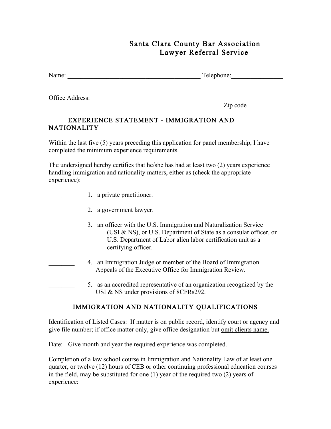## Santa Clara County Bar Association Lawyer Referral Service

| Name: | –<br>Telephone: |  |
|-------|-----------------|--|
|       |                 |  |

Office Address:

Zip code

## EXPERIENCE STATEMENT - IMMIGRATION AND NATIONALITY

Within the last five (5) years preceding this application for panel membership, I have completed the minimum experience requirements.

The undersigned hereby certifies that he/she has had at least two (2) years experience handling immigration and nationality matters, either as (check the appropriate experience):

- 1. a private practitioner.
- 2. a government lawyer.
	- \_\_\_\_\_\_\_\_ 3. an officer with the U.S. Immigration and Naturalization Service (USI & NS), or U.S. Department of State as a consular officer, or U.S. Department of Labor alien labor certification unit as a certifying officer.
		- \_\_\_\_\_\_\_\_ 4. an Immigration Judge or member of the Board of Immigration Appeals of the Executive Office for Immigration Review.
	- 5. as an accredited representative of an organization recognized by the USI & NS under provisions of 8CFRs292.

## IMMIGRATION AND NATIONALITY QUALIFICATIONS

Identification of Listed Cases: If matter is on public record, identify court or agency and give file number; if office matter only, give office designation but omit clients name.

Date: Give month and year the required experience was completed.

Completion of a law school course in Immigration and Nationality Law of at least one quarter, or twelve (12) hours of CEB or other continuing professional education courses in the field, may be substituted for one (1) year of the required two (2) years of experience: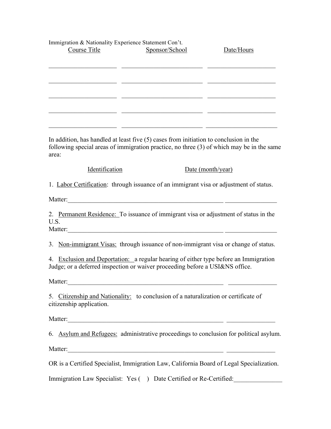| Immigration & Nationality Experience Statement Con't.                                                                                                                                         |                                                                                                                        |                                                                                                                                                                                                                                      |
|-----------------------------------------------------------------------------------------------------------------------------------------------------------------------------------------------|------------------------------------------------------------------------------------------------------------------------|--------------------------------------------------------------------------------------------------------------------------------------------------------------------------------------------------------------------------------------|
| Course Title                                                                                                                                                                                  | Sponsor/School                                                                                                         | Date/Hours                                                                                                                                                                                                                           |
|                                                                                                                                                                                               |                                                                                                                        |                                                                                                                                                                                                                                      |
|                                                                                                                                                                                               |                                                                                                                        | <u> 1990 - Johann Johann Harry Harry Harry Harry Harry Harry Harry Harry Harry Harry Harry Harry Harry Harry Harry Harry Harry Harry Harry Harry Harry Harry Harry Harry Harry Harry Harry Harry Harry Harry Harry Harry Harry H</u> |
|                                                                                                                                                                                               |                                                                                                                        |                                                                                                                                                                                                                                      |
|                                                                                                                                                                                               |                                                                                                                        | <u> 1989 - Johann John Stein, fransk politik (f. 1989)</u>                                                                                                                                                                           |
| <u> 1989 - Johann John Stone, Amerikaansk politiker († 1908)</u>                                                                                                                              |                                                                                                                        |                                                                                                                                                                                                                                      |
|                                                                                                                                                                                               |                                                                                                                        |                                                                                                                                                                                                                                      |
|                                                                                                                                                                                               |                                                                                                                        | <u> 2008 - Jan Barbarat, martin basar basar dan basar basar basar dan basar basar dalam basar dalam basar dalam b</u>                                                                                                                |
| In addition, has handled at least five $(5)$ cases from initiation to conclusion in the<br>following special areas of immigration practice, no three (3) of which may be in the same<br>area: |                                                                                                                        |                                                                                                                                                                                                                                      |
| Identification                                                                                                                                                                                |                                                                                                                        | Date (month/year)                                                                                                                                                                                                                    |
| 1. Labor Certification: through issuance of an immigrant visa or adjustment of status.                                                                                                        |                                                                                                                        |                                                                                                                                                                                                                                      |
|                                                                                                                                                                                               |                                                                                                                        |                                                                                                                                                                                                                                      |
| 2. Permanent Residence: To issuance of immigrant visa or adjustment of status in the<br>U.S.                                                                                                  |                                                                                                                        |                                                                                                                                                                                                                                      |
| 3. Non-immigrant Visas: through issuance of non-immigrant visa or change of status.                                                                                                           |                                                                                                                        |                                                                                                                                                                                                                                      |
| 4. Exclusion and Deportation: a regular hearing of either type before an Immigration<br>Judge; or a deferred inspection or waiver proceeding before a USI&NS office.                          |                                                                                                                        |                                                                                                                                                                                                                                      |
| Matter:                                                                                                                                                                                       | <u> 1989 - Johann Stoff, deutscher Stoffen und der Stoffen und der Stoffen und der Stoffen und der Stoffen und der</u> |                                                                                                                                                                                                                                      |
| 5. Citizenship and Nationality: to conclusion of a naturalization or certificate of<br>citizenship application.                                                                               |                                                                                                                        |                                                                                                                                                                                                                                      |
|                                                                                                                                                                                               |                                                                                                                        |                                                                                                                                                                                                                                      |
| 6. Asylum and Refugees: administrative proceedings to conclusion for political asylum.                                                                                                        |                                                                                                                        |                                                                                                                                                                                                                                      |
|                                                                                                                                                                                               |                                                                                                                        |                                                                                                                                                                                                                                      |
| OR is a Certified Specialist, Immigration Law, California Board of Legal Specialization.                                                                                                      |                                                                                                                        |                                                                                                                                                                                                                                      |
| Immigration Law Specialist: Yes () Date Certified or Re-Certified:                                                                                                                            |                                                                                                                        |                                                                                                                                                                                                                                      |